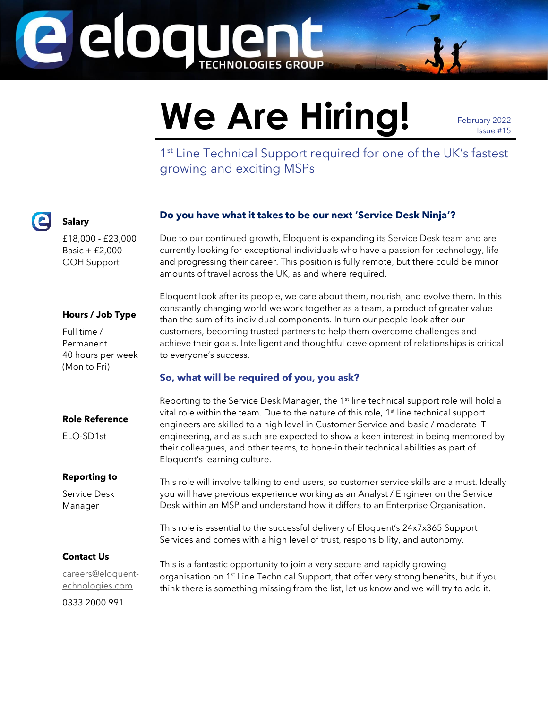

# We Are Hiring! February 2022

Issue #15

1<sup>st</sup> Line Technical Support required for one of the UK's fastest growing and exciting MSPs

# **Do you have what it takes to be our next 'Service Desk Ninja'?**

Due to our continued growth, Eloquent is expanding its Service Desk team and are currently looking for exceptional individuals who have a passion for technology, life and progressing their career. This position is fully remote, but there could be minor amounts of travel across the UK, as and where required.

#### **Hours / Job Type**

£18,000 - £23,000 Basic + £2,000 OOH Support

**Salary**

Full time / Permanent. 40 hours per week (Mon to Fri)

Eloquent look after its people, we care about them, nourish, and evolve them. In this constantly changing world we work together as a team, a product of greater value than the sum of its individual components. In turn our people look after our customers, becoming trusted partners to help them overcome challenges and achieve their goals. Intelligent and thoughtful development of relationships is critical to everyone's success.

## **So, what will be required of you, you ask?**

#### **Role Reference**

ELO-SD1st

#### **Reporting to**

Service Desk Manager

Reporting to the Service Desk Manager, the 1<sup>st</sup> line technical support role will hold a vital role within the team. Due to the nature of this role, 1<sup>st</sup> line technical support engineers are skilled to a high level in Customer Service and basic / moderate IT engineering, and as such are expected to show a keen interest in being mentored by their colleagues, and other teams, to hone-in their technical abilities as part of Eloquent's learning culture.

This role will involve talking to end users, so customer service skills are a must. Ideally you will have previous experience working as an Analyst / Engineer on the Service Desk within an MSP and understand how it differs to an Enterprise Organisation.

This role is essential to the successful delivery of Eloquent's 24x7x365 Support Services and comes with a high level of trust, responsibility, and autonomy.

## **Contact Us**

[careers@eloquent](mailto:careers@eloquent-echnologies.com)[echnologies.com](mailto:careers@eloquent-echnologies.com) 0333 2000 991

This is a fantastic opportunity to join a very secure and rapidly growing organisation on 1<sup>st</sup> Line Technical Support, that offer very strong benefits, but if you think there is something missing from the list, let us know and we will try to add it.